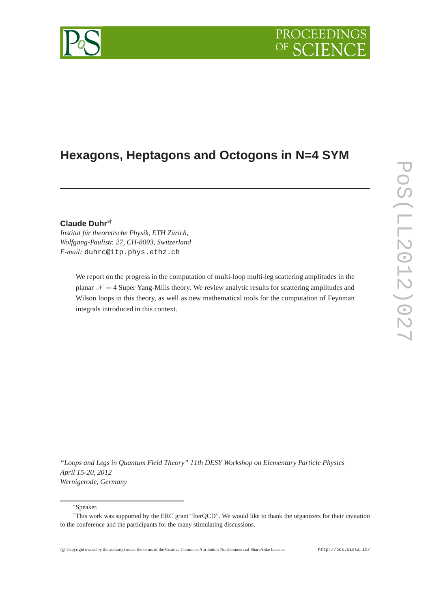# PROCEEDIN

## **Hexagons, Heptagons and Octogons in N=4 SYM**

### **Claude Duhr**∗†

*Institut für theoretische Physik, ETH Zürich, Wolfgang-Paulistr. 27, CH-8093, Switzerland E-mail:* duhrc@itp.phys.ethz.ch

> We report on the progress in the computation of multi-loop multi-leg scattering amplitudes in the planar  $\mathcal{N} = 4$  Super Yang-Mills theory. We review analytic results for scattering amplitudes and Wilson loops in this theory, as well as new mathematical tools for the computation of Feynman integrals introduced in this context.

*"Loops and Legs in Quantum Field Theory" 11th DESY Workshop on Elementary Particle Physics April 15-20, 2012 Wernigerode, Germany*

∗Speaker.

<sup>†</sup>This work was supported by the ERC grant "IterQCD". We would like to thank the organizers for their invitation to the conference and the participants for the many stimulating discussions.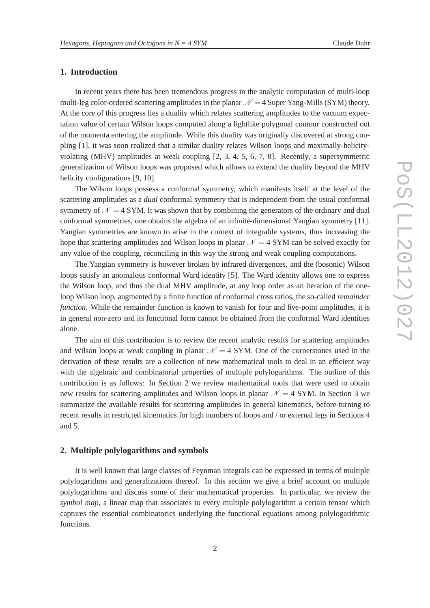#### **1. Introduction**

In recent years there has been tremendous progress in the analytic computation of multi-loop multi-leg color-ordered scattering amplitudes in the planar  $\mathcal{N} = 4$  Super Yang-Mills (SYM) theory. At the core of this progress lies a duality which relates scattering amplitudes to the vacuum expectation value of certain Wilson loops computed along a lightlike polygonal contour constructed out of the momenta entering the amplitude. While this duality was originally discovered at strong coupling [1], it was soon realized that a similar duality relates Wilson loops and maximally-helicityviolating (MHV) amplitudes at weak coupling [2, 3, 4, 5, 6, 7, 8]. Recently, a supersymmetric generalization of Wilson loops was proposed which allows to extend the duality beyond the MHV helicity configurations [9, 10].

The Wilson loops possess a conformal symmetry, which manifests itself at the level of the scattering amplitudes as a *dual* conformal symmetry that is independent from the usual conformal symmetry of  $\mathcal{N} = 4$  SYM. It was shown that by combining the generators of the ordinary and dual conformal symmetries, one obtains the algebra of an infinite-dimensional Yangian symmetry [11]. Yangian symmetries are known to arise in the context of integrable systems, thus increasing the hope that scattering amplitudes and Wilson loops in planar  $\mathcal{N} = 4$  SYM can be solved exactly for any value of the coupling, reconciling in this way the strong and weak coupling computations.

The Yangian symmetry is however broken by infrared divergences, and the (bosonic) Wilson loops satisfy an anomalous conformal Ward identity [5]. The Ward identity allows one to express the Wilson loop, and thus the dual MHV amplitude, at any loop order as an iteration of the oneloop Wilson loop, augmented by a finite function of conformal cross ratios, the so-called *remainder function*. While the remainder function is known to vanish for four and five-point amplitudes, it is in general non-zero and its functional form cannot be obtained from the conformal Ward identities alone.

The aim of this contribution is to review the recent analytic results for scattering amplitudes and Wilson loops at weak coupling in planar  $\mathcal{N} = 4$  SYM. One of the cornerstones used in the derivation of these results are a collection of new mathematical tools to deal in an efficient way with the algebraic and combinatorial properties of multiple polylogarithms. The outline of this contribution is as follows: In Section 2 we review mathematical tools that were used to obtain new results for scattering amplitudes and Wilson loops in planar  $\mathcal{N} = 4$  SYM. In Section 3 we summarize the available results for scattering amplitudes in general kinematics, before turning to recent results in restricted kinematics for high numbers of loops and / or external legs in Sections 4 and 5.

#### **2. Multiple polylogarithms and symbols**

It is well known that large classes of Feynman integrals can be expressed in terms of multiple polylogarithms and generalizations thereof. In this section we give a brief account on multiple polylogarithms and discuss some of their mathematical properties. In particular, we review the *symbol map*, a linear map that associates to every multiple polylogarithm a certain tensor which captures the essential combinatorics underlying the functional equations among polylogarithmic functions.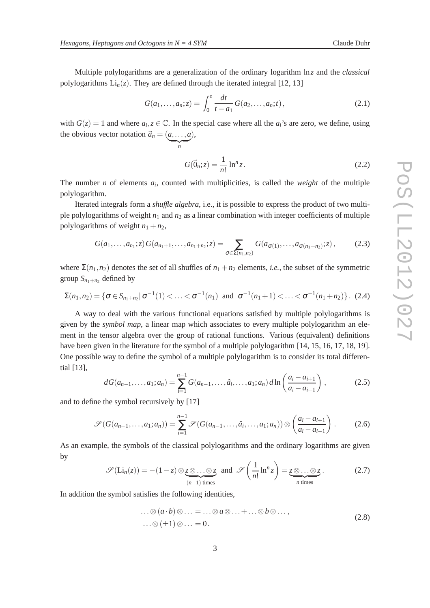Multiple polylogarithms are a generalization of the ordinary logarithm ln*z* and the *classical* polylogarithms  $Li_n(z)$ . They are defined through the iterated integral [12, 13]

$$
G(a_1,...,a_n;z) = \int_0^z \frac{dt}{t-a_1} G(a_2,...,a_n;t), \qquad (2.1)
$$

with  $G(z) = 1$  and where  $a_i, z \in \mathbb{C}$ . In the special case where all the  $a_i$ 's are zero, we define, using the obvious vector notation  $\vec{a}_n = (a, \dots, a)$ ),

 $\sum_{n}$ 

 $G(\vec{0}_n; z) = \frac{1}{n!} \ln^n$  $(2.2)$ 

The number *n* of elements *a<sup>i</sup>* , counted with multiplicities, is called the *weight* of the multiple polylogarithm.

Iterated integrals form a *shuffle algebra*, i.e., it is possible to express the product of two multiple polylogarithms of weight *n*<sup>1</sup> and *n*<sup>2</sup> as a linear combination with integer coefficients of multiple polylogarithms of weight  $n_1 + n_2$ ,

$$
G(a_1,\ldots,a_{n_1};z)G(a_{n_1+1},\ldots,a_{n_1+n_2};z)=\sum_{\sigma\in\Sigma(n_1,n_2)}G(a_{\sigma(1)},\ldots,a_{\sigma(n_1+n_2)};z),\qquad(2.3)
$$

where  $\Sigma(n_1, n_2)$  denotes the set of all shuffles of  $n_1 + n_2$  elements, *i.e.*, the subset of the symmetric group  $S_{n_1+n_2}$  defined by

$$
\Sigma(n_1,n_2) = \{ \sigma \in S_{n_1+n_2} | \sigma^{-1}(1) < \ldots < \sigma^{-1}(n_1) \text{ and } \sigma^{-1}(n_1+1) < \ldots < \sigma^{-1}(n_1+n_2) \}. \tag{2.4}
$$

A way to deal with the various functional equations satisfied by multiple polylogarithms is given by the *symbol map*, a linear map which associates to every multiple polylogarithm an element in the tensor algebra over the group of rational functions. Various (equivalent) definitions have been given in the literature for the symbol of a multiple polylogarithm [14, 15, 16, 17, 18, 19]. One possible way to define the symbol of a multiple polylogarithm is to consider its total differential [13],

$$
dG(a_{n-1},...,a_1;a_n) = \sum_{i=1}^{n-1} G(a_{n-1},...,a_i,...,a_1;a_n) d\ln\left(\frac{a_i - a_{i+1}}{a_i - a_{i-1}}\right),
$$
 (2.5)

and to define the symbol recursively by [17]

$$
\mathscr{S}(G(a_{n-1},...,a_1;a_n)) = \sum_{i=1}^{n-1} \mathscr{S}(G(a_{n-1},...,a_i,...,a_1;a_n)) \otimes \left(\frac{a_i - a_{i+1}}{a_i - a_{i-1}}\right). \tag{2.6}
$$

As an example, the symbols of the classical polylogarithms and the ordinary logarithms are given by

$$
\mathscr{S}(\text{Li}_n(z)) = -(1-z) \otimes \underbrace{z \otimes \ldots \otimes z}_{(n-1) \text{ times}} \text{ and } \mathscr{S}\left(\frac{1}{n!} \ln^n z\right) = \underbrace{z \otimes \ldots \otimes z}_{n \text{ times}}.
$$
 (2.7)

In addition the symbol satisfies the following identities,

$$
\dots \otimes (a \cdot b) \otimes \dots = \dots \otimes a \otimes \dots + \dots \otimes b \otimes \dots,
$$
  

$$
\dots \otimes (\pm 1) \otimes \dots = 0.
$$
 (2.8)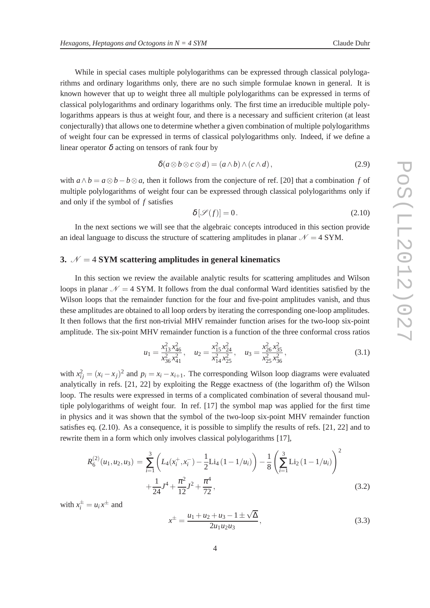While in special cases multiple polylogarithms can be expressed through classical polylogarithms and ordinary logarithms only, there are no such simple formulae known in general. It is known however that up to weight three all multiple polylogarithms can be expressed in terms of classical polylogarithms and ordinary logarithms only. The first time an irreducible multiple polylogarithms appears is thus at weight four, and there is a necessary and sufficient criterion (at least conjecturally) that allows one to determine whether a given combination of multiple polylogarithms of weight four can be expressed in terms of classical polylogarithms only. Indeed, if we define a linear operator  $\delta$  acting on tensors of rank four by

$$
\delta(a\otimes b\otimes c\otimes d) = (a\wedge b)\wedge (c\wedge d),\tag{2.9}
$$

with  $a \wedge b = a \otimes b - b \otimes a$ , then it follows from the conjecture of ref. [20] that a combination *f* of multiple polylogarithms of weight four can be expressed through classical polylogarithms only if and only if the symbol of *f* satisfies

$$
\delta[\mathcal{S}(f)] = 0. \tag{2.10}
$$

In the next sections we will see that the algebraic concepts introduced in this section provide an ideal language to discuss the structure of scattering amplitudes in planar  $\mathcal{N} = 4$  SYM.

#### **3.**  $N = 4$  **SYM** scattering amplitudes in general kinematics

In this section we review the available analytic results for scattering amplitudes and Wilson loops in planar  $\mathcal{N} = 4$  SYM. It follows from the dual conformal Ward identities satisfied by the Wilson loops that the remainder function for the four and five-point amplitudes vanish, and thus these amplitudes are obtained to all loop orders by iterating the corresponding one-loop amplitudes. It then follows that the first non-trivial MHV remainder function arises for the two-loop six-point amplitude. The six-point MHV remainder function is a function of the three conformal cross ratios

$$
u_1 = \frac{x_{13}^2 x_{46}^2}{x_{36}^2 x_{41}^2}, \quad u_2 = \frac{x_{15}^2 x_{24}^2}{x_{14}^2 x_{25}^2}, \quad u_3 = \frac{x_{26}^2 x_{35}^2}{x_{25}^2 x_{36}^2},
$$
(3.1)

with  $x_{ij}^2 = (x_i - x_j)^2$  and  $p_i = x_i - x_{i+1}$ . The corresponding Wilson loop diagrams were evaluated analytically in refs. [21, 22] by exploiting the Regge exactness of (the logarithm of) the Wilson loop. The results were expressed in terms of a complicated combination of several thousand multiple polylogarithms of weight four. In ref. [17] the symbol map was applied for the first time in physics and it was shown that the symbol of the two-loop six-point MHV remainder function satisfies eq. (2.10). As a consequence, it is possible to simplify the results of refs. [21, 22] and to rewrite them in a form which only involves classical polylogarithms [17],

$$
R_6^{(2)}(u_1, u_2, u_3) = \sum_{i=1}^3 \left( L_4(x_i^+, x_i^-) - \frac{1}{2} \text{Li}_4(1 - 1/u_i) \right) - \frac{1}{8} \left( \sum_{i=1}^3 \text{Li}_2(1 - 1/u_i) \right)^2 + \frac{1}{24} J^4 + \frac{\pi^2}{12} J^2 + \frac{\pi^4}{72},
$$
\n(3.2)

with  $x_i^{\pm} = u_i x^{\pm}$  and

$$
x^{\pm} = \frac{u_1 + u_2 + u_3 - 1 \pm \sqrt{\Delta}}{2u_1 u_2 u_3},
$$
\n(3.3)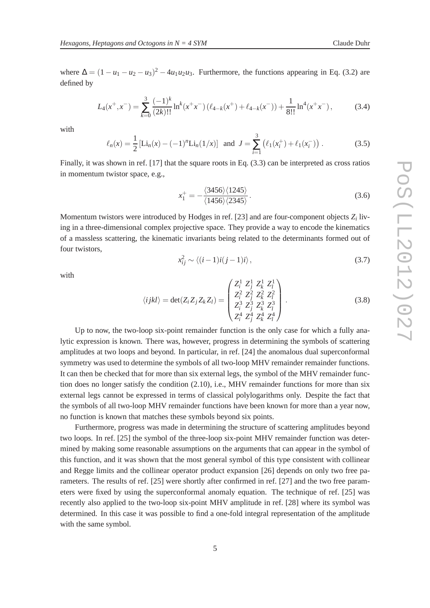where  $\Delta = (1 - u_1 - u_2 - u_3)^2 - 4u_1u_2u_3$ . Furthermore, the functions appearing in Eq. (3.2) are defined by

$$
L_4(x^+,x^-) = \sum_{k=0}^3 \frac{(-1)^k}{(2k)!!} \ln^k(x^+x^-) \left( \ell_{4-k}(x^+) + \ell_{4-k}(x^-) \right) + \frac{1}{8!!} \ln^4(x^+x^-),\tag{3.4}
$$

with

$$
\ell_n(x) = \frac{1}{2} \left[ \text{Li}_n(x) - (-1)^n \text{Li}_n(1/x) \right] \text{ and } J = \sum_{i=1}^3 \left( \ell_1(x_i^+) + \ell_1(x_i^-) \right). \tag{3.5}
$$

Finally, it was shown in ref. [17] that the square roots in Eq. (3.3) can be interpreted as cross ratios in momentum twistor space, e.g.,

$$
x_1^+ = -\frac{\langle 3456 \rangle \langle 1245 \rangle}{\langle 1456 \rangle \langle 2345 \rangle}.
$$
\n(3.6)

Momentum twistors were introduced by Hodges in ref. [23] and are four-component objects *Z<sup>i</sup>* living in a three-dimensional complex projective space. They provide a way to encode the kinematics of a massless scattering, the kinematic invariants being related to the determinants formed out of four twistors,

$$
x_{ij}^2 \sim \langle (i-1)i(j-1)i \rangle, \qquad (3.7)
$$

with

$$
\langle i j k l \rangle = \det(Z_i Z_j Z_k Z_l) = \begin{pmatrix} Z_i^1 & Z_j^1 & Z_k^1 & Z_l^1 \\ Z_i^2 & Z_j^2 & Z_k^2 & Z_l^2 \\ Z_i^3 & Z_j^3 & Z_k^3 & Z_l^3 \\ Z_i^4 & Z_j^4 & Z_k^4 & Z_l^4 \end{pmatrix} .
$$
 (3.8)

Up to now, the two-loop six-point remainder function is the only case for which a fully analytic expression is known. There was, however, progress in determining the symbols of scattering amplitudes at two loops and beyond. In particular, in ref. [24] the anomalous dual superconformal symmetry was used to determine the symbols of all two-loop MHV remainder remainder functions. It can then be checked that for more than six external legs, the symbol of the MHV remainder function does no longer satisfy the condition (2.10), i.e., MHV remainder functions for more than six external legs cannot be expressed in terms of classical polylogarithms only. Despite the fact that the symbols of all two-loop MHV remainder functions have been known for more than a year now, no function is known that matches these symbols beyond six points.

Furthermore, progress was made in determining the structure of scattering amplitudes beyond two loops. In ref. [25] the symbol of the three-loop six-point MHV remainder function was determined by making some reasonable assumptions on the arguments that can appear in the symbol of this function, and it was shown that the most general symbol of this type consistent with collinear and Regge limits and the collinear operator product expansion [26] depends on only two free parameters. The results of ref. [25] were shortly after confirmed in ref. [27] and the two free parameters were fixed by using the superconformal anomaly equation. The technique of ref. [25] was recently also applied to the two-loop six-point MHV amplitude in ref. [28] where its symbol was determined. In this case it was possible to find a one-fold integral representation of the amplitude with the same symbol.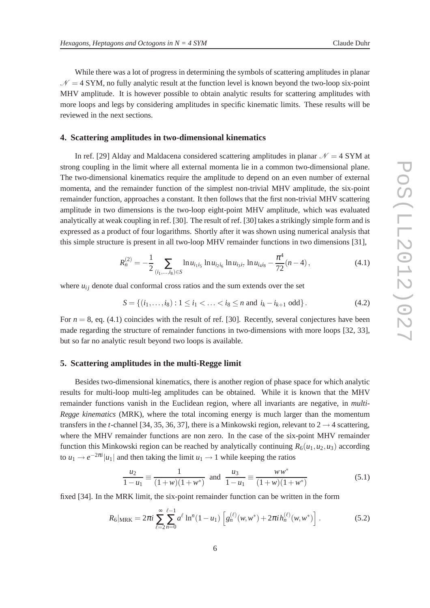While there was a lot of progress in determining the symbols of scattering amplitudes in planar  $\mathcal{N} = 4$  SYM, no fully analytic result at the function level is known beyond the two-loop six-point MHV amplitude. It is however possible to obtain analytic results for scattering amplitudes with more loops and legs by considering amplitudes in specific kinematic limits. These results will be reviewed in the next sections.

#### **4. Scattering amplitudes in two-dimensional kinematics**

In ref. [29] Alday and Maldacena considered scattering amplitudes in planar  $\mathcal{N} = 4$  SYM at strong coupling in the limit where all external momenta lie in a common two-dimensional plane. The two-dimensional kinematics require the amplitude to depend on an even number of external momenta, and the remainder function of the simplest non-trivial MHV amplitude, the six-point remainder function, approaches a constant. It then follows that the first non-trivial MHV scattering amplitude in two dimensions is the two-loop eight-point MHV amplitude, which was evaluated analytically at weak coupling in ref. [30]. The result of ref. [30] takes a strikingly simple form and is expressed as a product of four logarithms. Shortly after it was shown using numerical analysis that this simple structure is present in all two-loop MHV remainder functions in two dimensions [31],

$$
R_n^{(2)} = -\frac{1}{2} \sum_{(i_1,\ldots,i_8)\in S} \ln u_{i_1 i_5} \ln u_{i_2 i_6} \ln u_{i_3 i_7} \ln u_{i_4 i_8} - \frac{\pi^4}{72}(n-4), \tag{4.1}
$$

where  $u_{ij}$  denote dual conformal cross ratios and the sum extends over the set

$$
S = \{(i_1, \ldots, i_8) : 1 \le i_1 < \ldots < i_8 \le n \text{ and } i_k - i_{k+1} \text{ odd}\}.
$$
 (4.2)

For  $n = 8$ , eq. (4.1) coincides with the result of ref. [30]. Recently, several conjectures have been made regarding the structure of remainder functions in two-dimensions with more loops [32, 33], but so far no analytic result beyond two loops is available.

#### **5. Scattering amplitudes in the multi-Regge limit**

Besides two-dimensional kinematics, there is another region of phase space for which analytic results for multi-loop multi-leg amplitudes can be obtained. While it is known that the MHV remainder functions vanish in the Euclidean region, where all invariants are negative, in *multi-Regge kinematics* (MRK), where the total incoming energy is much larger than the momentum transfers in the *t*-channel [34, 35, 36, 37], there is a Minkowski region, relevant to  $2 \rightarrow 4$  scattering, where the MHV remainder functions are non zero. In the case of the six-point MHV remainder function this Minkowski region can be reached by analytically continuing  $R_6(u_1, u_2, u_3)$  according to  $u_1 \rightarrow e^{-2\pi i} |u_1|$  and then taking the limit  $u_1 \rightarrow 1$  while keeping the ratios

$$
\frac{u_2}{1 - u_1} \equiv \frac{1}{(1 + w)(1 + w^*)} \text{ and } \frac{u_3}{1 - u_1} \equiv \frac{w w^*}{(1 + w)(1 + w^*)}
$$
(5.1)

fixed [34]. In the MRK limit, the six-point remainder function can be written in the form

$$
R_6|_{\text{MRK}} = 2\pi i \sum_{\ell=2}^{\infty} \sum_{n=0}^{\ell-1} a^{\ell} \ln^n (1 - u_1) \left[ g_n^{(\ell)}(w, w^*) + 2\pi i h_n^{(\ell)}(w, w^*) \right]. \tag{5.2}
$$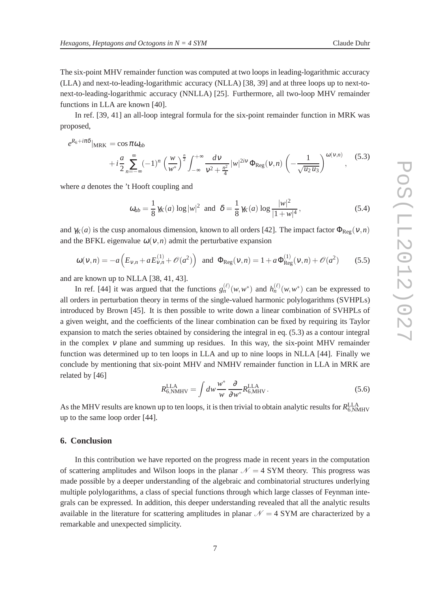The six-point MHV remainder function was computed at two loops in leading-logarithmic accuracy (LLA) and next-to-leading-logarithmic accuracy (NLLA) [38, 39] and at three loops up to next-tonext-to-leading-logarithmic accuracy (NNLLA) [25]. Furthermore, all two-loop MHV remainder functions in LLA are known [40].

In ref. [39, 41] an all-loop integral formula for the six-point remainder function in MRK was proposed,

$$
e^{R_6 + i\pi\delta}|_{\text{MRK}} = \cos \pi \omega_{ab}
$$
  
+  $i\frac{a}{2} \sum_{n=-\infty}^{\infty} (-1)^n \left(\frac{w}{w^*}\right)^{\frac{n}{2}} \int_{-\infty}^{+\infty} \frac{dv}{v^2 + \frac{n^2}{4}} |w|^{2iv} \Phi_{\text{Reg}}(v, n) \left(-\frac{1}{\sqrt{u_2 u_3}}\right)^{\omega(v, n)},$  (5.3)

where *a* denotes the 't Hooft coupling and

$$
\omega_{ab} = \frac{1}{8} \gamma_K(a) \log |w|^2 \text{ and } \delta = \frac{1}{8} \gamma_K(a) \log \frac{|w|^2}{|1 + w|^4},\tag{5.4}
$$

and  $\gamma_K(a)$  is the cusp anomalous dimension, known to all orders [42]. The impact factor  $\Phi_{\text{Reg}}(v,n)$ and the BFKL eigenvalue  $\omega(v,n)$  admit the perturbative expansion

$$
\omega(v,n) = -a\left(E_{v,n} + aE_{v,n}^{(1)} + \mathcal{O}(a^2)\right) \text{ and } \Phi_{\text{Reg}}(v,n) = 1 + a\Phi_{\text{Reg}}^{(1)}(v,n) + \mathcal{O}(a^2) \tag{5.5}
$$

and are known up to NLLA [38, 41, 43].

In ref. [44] it was argued that the functions  $g_n^{(\ell)}(w, w^*)$  and  $h_n^{(\ell)}(w, w^*)$  can be expressed to all orders in perturbation theory in terms of the single-valued harmonic polylogarithms (SVHPLs) introduced by Brown [45]. It is then possible to write down a linear combination of SVHPLs of a given weight, and the coefficients of the linear combination can be fixed by requiring its Taylor expansion to match the series obtained by considering the integral in eq. (5.3) as a contour integral in the complex  $\nu$  plane and summing up residues. In this way, the six-point MHV remainder function was determined up to ten loops in LLA and up to nine loops in NLLA [44]. Finally we conclude by mentioning that six-point MHV and NMHV remainder function in LLA in MRK are related by [46]

$$
R_{6,\text{NMHV}}^{\text{LLA}} = \int dw \frac{w^*}{w} \frac{\partial}{\partial w^*} R_{6,\text{MHV}}^{\text{LLA}}.
$$
 (5.6)

As the MHV results are known up to ten loops, it is then trivial to obtain analytic results for  $R^{\rm LLA}_{6, \rm NMHV}$ up to the same loop order [44].

#### **6. Conclusion**

In this contribution we have reported on the progress made in recent years in the computation of scattering amplitudes and Wilson loops in the planar  $\mathcal{N} = 4$  SYM theory. This progress was made possible by a deeper understanding of the algebraic and combinatorial structures underlying multiple polylogarithms, a class of special functions through which large classes of Feynman integrals can be expressed. In addition, this deeper understanding revealed that all the analytic results available in the literature for scattering amplitudes in planar  $\mathcal{N} = 4$  SYM are characterized by a remarkable and unexpected simplicity.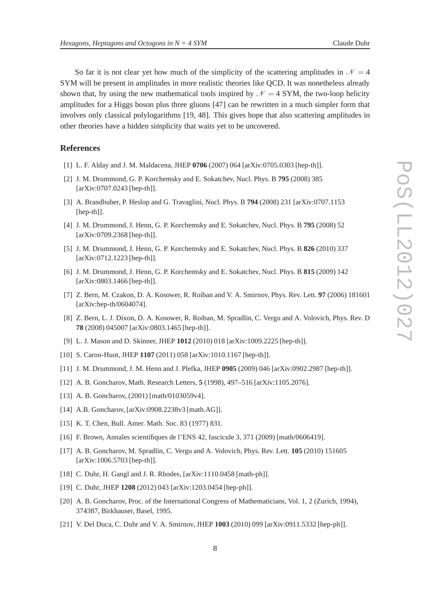So far it is not clear yet how much of the simplicity of the scattering amplitudes in  $\mathcal{N} = 4$ SYM will be present in amplitudes in more realistic theories like QCD. It was nonetheless already shown that, by using the new mathematical tools inspired by  $\mathcal{N} = 4$  SYM, the two-loop helicity amplitudes for a Higgs boson plus three gluons [47] can be rewritten in a much simpler form that involves only classical polylogarithms [19, 48]. This gives hope that also scattering amplitudes in other theories have a hidden simplicity that waits yet to be uncovered.

#### **References**

- [1] L. F. Alday and J. M. Maldacena, JHEP **0706** (2007) 064 [arXiv:0705.0303 [hep-th]].
- [2] J. M. Drummond, G. P. Korchemsky and E. Sokatchev, Nucl. Phys. B **795** (2008) 385 [arXiv:0707.0243 [hep-th]].
- [3] A. Brandhuber, P. Heslop and G. Travaglini, Nucl. Phys. B **794** (2008) 231 [arXiv:0707.1153 [hep-th]].
- [4] J. M. Drummond, J. Henn, G. P. Korchemsky and E. Sokatchev, Nucl. Phys. B **795** (2008) 52 [arXiv:0709.2368 [hep-th]].
- [5] J. M. Drummond, J. Henn, G. P. Korchemsky and E. Sokatchev, Nucl. Phys. B **826** (2010) 337 [arXiv:0712.1223 [hep-th]].
- [6] J. M. Drummond, J. Henn, G. P. Korchemsky and E. Sokatchev, Nucl. Phys. B **815** (2009) 142 [arXiv:0803.1466 [hep-th]].
- [7] Z. Bern, M. Czakon, D. A. Kosower, R. Roiban and V. A. Smirnov, Phys. Rev. Lett. **97** (2006) 181601 [arXiv:hep-th/0604074].
- [8] Z. Bern, L. J. Dixon, D. A. Kosower, R. Roiban, M. Spradlin, C. Vergu and A. Volovich, Phys. Rev. D **78** (2008) 045007 [arXiv:0803.1465 [hep-th]].
- [9] L. J. Mason and D. Skinner, JHEP **1012** (2010) 018 [arXiv:1009.2225 [hep-th]].
- [10] S. Caron-Huot, JHEP **1107** (2011) 058 [arXiv:1010.1167 [hep-th]].
- [11] J. M. Drummond, J. M. Henn and J. Plefka, JHEP **0905** (2009) 046 [arXiv:0902.2987 [hep-th]].
- [12] A. B. Goncharov, Math. Research Letters, **5** (1998), 497–516 [arXiv:1105.2076].
- [13] A. B. Goncharov, (2001) [math/0103059v4].
- [14] A.B. Goncharov, [arXiv:0908.2238v3 [math.AG]].
- [15] K. T. Chen, Bull. Amer. Math. Soc. 83 (1977) 831.
- [16] F. Brown, Annales scientifiques de l'ENS 42, fascicule 3, 371 (2009) [math/0606419].
- [17] A. B. Goncharov, M. Spradlin, C. Vergu and A. Volovich, Phys. Rev. Lett. **105** (2010) 151605 [arXiv:1006.5703 [hep-th]].
- [18] C. Duhr, H. Gangl and J. R. Rhodes, [arXiv:1110.0458 [math-ph]].
- [19] C. Duhr, JHEP **1208** (2012) 043 [arXiv:1203.0454 [hep-ph]].
- [20] A. B. Goncharov, Proc. of the International Congress of Mathematicians, Vol. 1, 2 (Zurich, 1994), 374387, Birkhauser, Basel, 1995.
- [21] V. Del Duca, C. Duhr and V. A. Smirnov, JHEP **1003** (2010) 099 [arXiv:0911.5332 [hep-ph]].